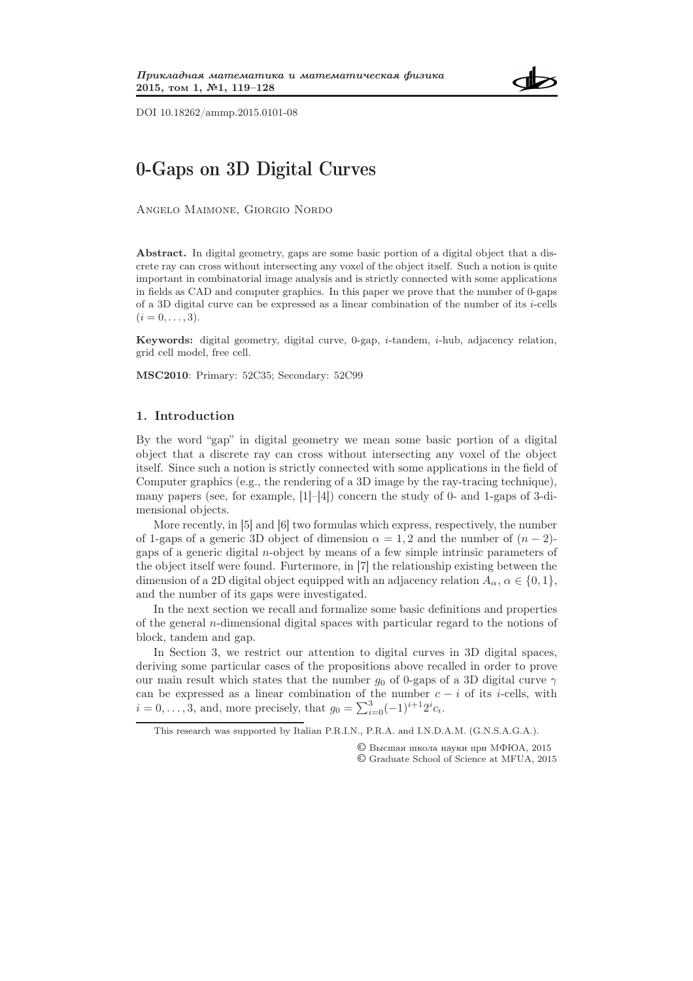

DOI 10.18262/ammp.2015.0101-08

# 0-Gaps on 3D Digital Curves

Angelo Maimone, Giorgio Nordo

Abstract. In digital geometry, gaps are some basic portion of a digital object that a discrete ray can cross without intersecting any voxel of the object itself. Such a notion is quite important in combinatorial image analysis and is strictly connected with some applications in fields as CAD and computer graphics. In this paper we prove that the number of 0-gaps of a 3D digital curve can be expressed as a linear combination of the number of its  $i$ -cells  $(i = 0, \ldots, 3).$ 

**Keywords:** digital geometry, digital curve, 0-gap,  $i$ -tandem,  $i$ -hub, adjacency relation, grid cell model, free cell.

MSC2010: Primary: 52C35; Secondary: 52C99

## 1. Introduction

By the word "gap" in digital geometry we mean some basic portion of a digital object that a discrete ray can cross without intersecting any voxel of the object itself. Since such a notion is strictly connected with some applications in the field of Computer graphics (e.g., the rendering of a 3D image by the ray-tracing technique), many papers (see, for example,  $[1]-[4]$ ) concern the study of 0- and 1-gaps of 3-dimensional objects.

More recently, in [5] and [6] two formulas which express, respectively, the number of 1-gaps of a generic 3D object of dimension  $\alpha = 1, 2$  and the number of  $(n - 2)$ gaps of a generic digital n-object by means of a few simple intrinsic parameters of the object itself were found. Furtermore, in [7] the relationship existing between the dimension of a 2D digital object equipped with an adjacency relation  $A_{\alpha}$ ,  $\alpha \in \{0, 1\}$ , and the number of its gaps were investigated.

In the next section we recall and formalize some basic definitions and properties of the general n-dimensional digital spaces with particular regard to the notions of block, tandem and gap.

In Section 3, we restrict our attention to digital curves in 3D digital spaces, deriving some particular cases of the propositions above recalled in order to prove our main result which states that the number  $g_0$  of 0-gaps of a 3D digital curve  $\gamma$ can be expressed as a linear combination of the number  $c - i$  of its *i*-cells, with  $i = 0, ..., 3$ , and, more precisely, that  $g_0 = \sum_{i=0}^{3} (-1)^{i+1} 2^i c_i$ .

© Высшая школа науки при МФЮА, 2015 © Graduate School of Science at MFUA, 2015

This research was supported by Italian P.R.I.N., P.R.A. and I.N.D.A.M. (G.N.S.A.G.A.).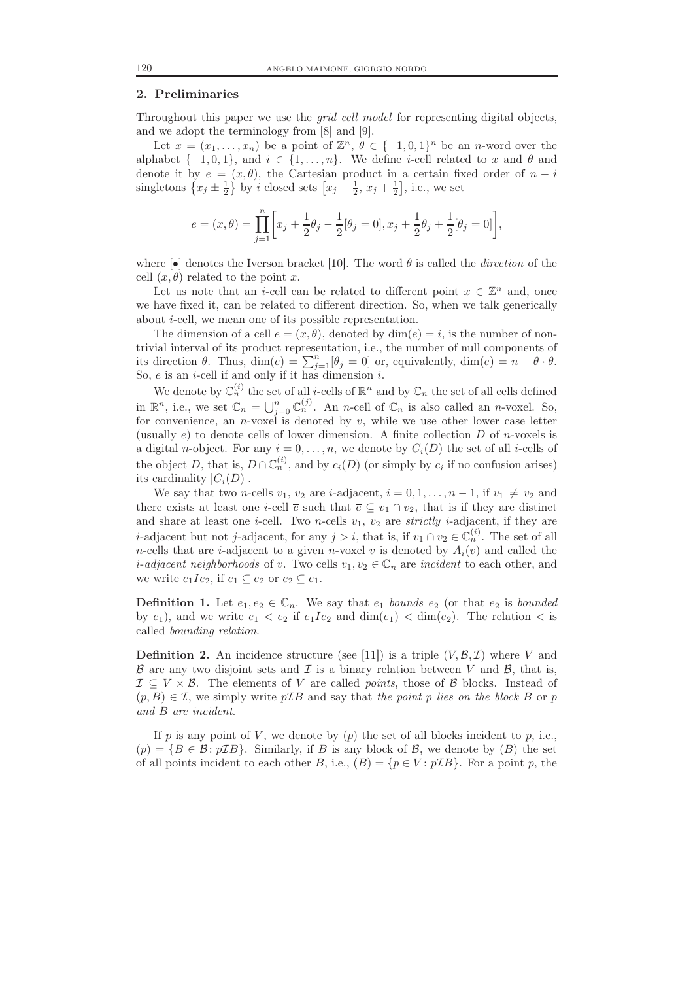### 2. Preliminaries

Throughout this paper we use the grid cell model for representing digital objects, and we adopt the terminology from [8] and [9].

Let  $x = (x_1, \ldots, x_n)$  be a point of  $\mathbb{Z}^n$ ,  $\theta \in \{-1, 0, 1\}^n$  be an *n*-word over the alphabet  $\{-1, 0, 1\}$ , and  $i \in \{1, ..., n\}$ . We define *i*-cell related to x and  $\theta$  and denote it by  $e = (x, \theta)$ , the Cartesian product in a certain fixed order of  $n - i$ singletons  $\left\{x_j \pm \frac{1}{2}\right\}$  by *i* closed sets  $\left[x_j - \frac{1}{2}, x_j + \frac{1}{2}\right]$ , i.e., we set

$$
e = (x, \theta) = \prod_{j=1}^{n} \left[ x_j + \frac{1}{2} \theta_j - \frac{1}{2} [\theta_j = 0], x_j + \frac{1}{2} \theta_j + \frac{1}{2} [\theta_j = 0] \right],
$$

where  $\lceil \cdot \cdot \rceil$  denotes the Iverson bracket [10]. The word  $\theta$  is called the *direction* of the cell  $(x, \theta)$  related to the point x.

Let us note that an *i*-cell can be related to different point  $x \in \mathbb{Z}^n$  and, once we have fixed it, can be related to different direction. So, when we talk generically about i-cell, we mean one of its possible representation.

The dimension of a cell  $e = (x, \theta)$ , denoted by  $\dim(e) = i$ , is the number of nontrivial interval of its product representation, i.e., the number of null components of its direction  $\theta$ . Thus,  $\dim(e) = \sum_{j=1}^{n} [\theta_j = 0]$  or, equivalently,  $\dim(e) = n - \theta \cdot \theta$ . So,  $e$  is an *i*-cell if and only if it has dimension *i*.

We denote by  $\mathbb{C}_n^{(i)}$  the set of all *i*-cells of  $\mathbb{R}^n$  and by  $\mathbb{C}_n$  the set of all cells defined in  $\mathbb{R}^n$ , i.e., we set  $\mathbb{C}_n = \bigcup_{j=0}^n \mathbb{C}_n^{(j)}$ . An *n*-cell of  $\mathbb{C}_n$  is also called an *n*-voxel. So, for convenience, an *n*-voxel is denoted by v, while we use other lower case letter (usually e) to denote cells of lower dimension. A finite collection  $D$  of n-voxels is a digital *n*-object. For any  $i = 0, \ldots, n$ , we denote by  $C_i(D)$  the set of all *i*-cells of the object D, that is,  $D \cap \mathbb{C}_n^{(i)}$ , and by  $c_i(D)$  (or simply by  $c_i$  if no confusion arises) its cardinality  $|C_i(D)|$ .

We say that two *n*-cells  $v_1$ ,  $v_2$  are *i*-adjacent,  $i = 0, 1, ..., n - 1$ , if  $v_1 \neq v_2$  and there exists at least one *i*-cell  $\overline{e}$  such that  $\overline{e} \subseteq v_1 \cap v_2$ , that is if they are distinct and share at least one *i*-cell. Two *n*-cells  $v_1$ ,  $v_2$  are *strictly i*-adjacent, if they are *i*-adjacent but not *j*-adjacent, for any  $j > i$ , that is, if  $v_1 \cap v_2 \in \mathbb{C}_n^{(i)}$ . The set of all *n*-cells that are *i*-adjacent to a given *n*-voxel v is denoted by  $A_i(v)$  and called the *i*-adjacent neighborhoods of v. Two cells  $v_1, v_2 \in \mathbb{C}_n$  are incident to each other, and we write  $e_1Ie_2$ , if  $e_1 \subseteq e_2$  or  $e_2 \subseteq e_1$ .

**Definition 1.** Let  $e_1, e_2 \in \mathbb{C}_n$ . We say that  $e_1$  bounds  $e_2$  (or that  $e_2$  is bounded by  $e_1$ ), and we write  $e_1 < e_2$  if  $e_1Ie_2$  and  $\dim(e_1) < \dim(e_2)$ . The relation  $\lt$  is called bounding relation.

**Definition 2.** An incidence structure (see [11]) is a triple  $(V, \mathcal{B}, \mathcal{I})$  where V and  $\beta$  are any two disjoint sets and  $\mathcal I$  is a binary relation between V and  $\beta$ , that is,  $\mathcal{I} \subseteq V \times \mathcal{B}$ . The elements of V are called *points*, those of  $\mathcal{B}$  blocks. Instead of  $(p, B) \in \mathcal{I}$ , we simply write  $p\mathcal{I}B$  and say that the point p lies on the block B or p and B are incident.

If p is any point of V, we denote by  $(p)$  the set of all blocks incident to p, i.e.,  $(p) = \{B \in \mathcal{B} : p\mathcal{I}B\}$ . Similarly, if B is any block of B, we denote by  $(B)$  the set of all points incident to each other B, i.e.,  $(B) = \{p \in V : pIB\}$ . For a point p, the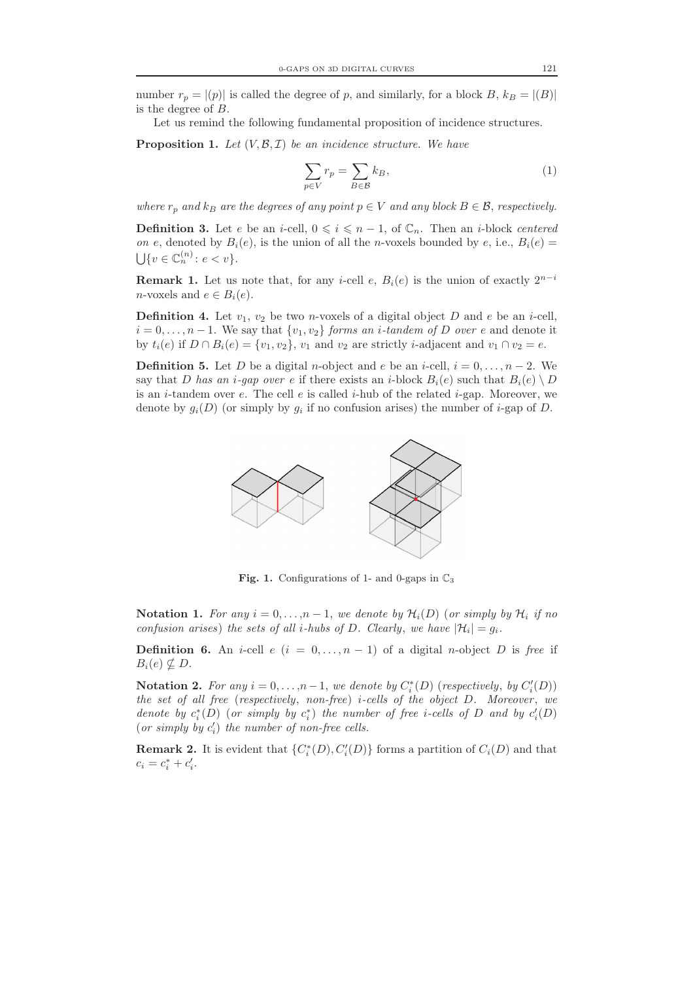number  $r_p = |(p)|$  is called the degree of p, and similarly, for a block B,  $k_B = |(B)|$ is the degree of B.

Let us remind the following fundamental proposition of incidence structures.

**Proposition 1.** Let  $(V, \mathcal{B}, \mathcal{I})$  be an incidence structure. We have

$$
\sum_{p \in V} r_p = \sum_{B \in \mathcal{B}} k_B,\tag{1}
$$

where  $r_p$  and  $k_B$  are the degrees of any point  $p \in V$  and any block  $B \in \mathcal{B}$ , respectively.

**Definition 3.** Let e be an *i*-cell,  $0 \leq i \leq n-1$ , of  $\mathbb{C}_n$ . Then an *i*-block centered on e, denoted by  $B_i(e)$ , is the union of all the n-voxels bounded by e, i.e.,  $B_i(e)$  $\bigcup \{v \in \mathbb{C}_n^{(n)} \colon e < v\}.$ 

**Remark 1.** Let us note that, for any *i*-cell *e*,  $B_i(e)$  is the union of exactly  $2^{n-i}$ *n*-voxels and  $e \in B_i(e)$ .

**Definition 4.** Let  $v_1$ ,  $v_2$  be two *n*-voxels of a digital object D and e be an *i*-cell,  $i = 0, \ldots, n - 1$ . We say that  $\{v_1, v_2\}$  forms an *i*-tandem of D over e and denote it by  $t_i(e)$  if  $D \cap B_i(e) = \{v_1, v_2\}$ ,  $v_1$  and  $v_2$  are strictly *i*-adjacent and  $v_1 \cap v_2 = e$ .

**Definition 5.** Let D be a digital n-object and e be an i-cell,  $i = 0, \ldots, n-2$ . We say that D has an *i*-qap over e if there exists an *i*-block  $B_i(e)$  such that  $B_i(e) \setminus D$ is an *i*-tandem over e. The cell e is called *i*-hub of the related *i*-gap. Moreover, we denote by  $g_i(D)$  (or simply by  $g_i$  if no confusion arises) the number of *i*-gap of D.



Fig. 1. Configurations of 1- and 0-gaps in  $\mathbb{C}_3$ 

Notation 1. For any  $i = 0, \ldots, n-1$ , we denote by  $\mathcal{H}_i(D)$  (or simply by  $\mathcal{H}_i$  if no confusion arises) the sets of all *i*-hubs of D. Clearly, we have  $|\mathcal{H}_i| = g_i$ .

**Definition 6.** An *i*-cell  $e$  ( $i = 0, ..., n-1$ ) of a digital *n*-object D is free if  $B_i(e) \nsubseteq D$ .

Notation 2. For any  $i = 0, ..., n-1$ , we denote by  $C_i^*(D)$  (respectively, by  $C_i'(D)$ ) the set of all free (respectively, non-free) *i-cells* of the object  $D$ . Moreover, we denote by  $c_i^*(D)$  (or simply by  $c_i^*$ ) the number of free *i*-cells of D and by  $c_i'(D)$ (or simply by  $c_i'$ ) the number of non-free cells.

**Remark 2.** It is evident that  $\{C_i^*(D), C_i'(D)\}$  forms a partition of  $C_i(D)$  and that  $c_i = c_i^* + c_i'.$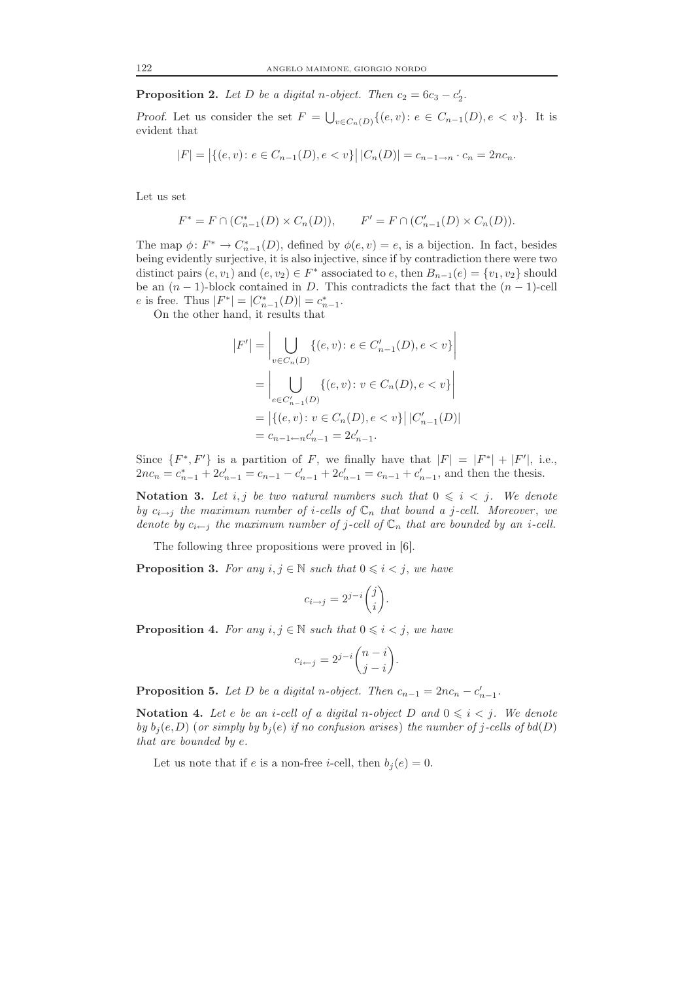**Proposition 2.** Let D be a digital n-object. Then  $c_2 = 6c_3 - c'_2$ .

Proof. Let us consider the set  $F = \bigcup_{v \in C_n(D)} \{(e, v): e \in C_{n-1}(D), e \lt v\}$ . It is evident that

$$
|F| = |\{(e, v) \colon e \in C_{n-1}(D), e < v\}| |C_n(D)| = c_{n-1 \to n} \cdot c_n = 2nc_n.
$$

Let us set

$$
F^* = F \cap (C_{n-1}^*(D) \times C_n(D)), \qquad F' = F \cap (C_{n-1}'(D) \times C_n(D)).
$$

The map  $\phi \colon F^* \to C^*_{n-1}(D)$ , defined by  $\phi(e, v) = e$ , is a bijection. In fact, besides being evidently surjective, it is also injective, since if by contradiction there were two distinct pairs  $(e, v_1)$  and  $(e, v_2) \in F^*$  associated to  $e$ , then  $B_{n-1}(e) = \{v_1, v_2\}$  should be an  $(n-1)$ -block contained in D. This contradicts the fact that the  $(n-1)$ -cell e is free. Thus  $|F^*| = |C_{n-1}^*(D)| = c_{n-1}^*$ .

On the other hand, it results that

$$
|F'| = \left| \bigcup_{v \in C_n(D)} \{ (e, v) \colon e \in C'_{n-1}(D), e < v \} \right|
$$
\n
$$
= \left| \bigcup_{e \in C'_{n-1}(D)} \{ (e, v) \colon v \in C_n(D), e < v \} \right|
$$
\n
$$
= \left| \{ (e, v) \colon v \in C_n(D), e < v \} \right| |C'_{n-1}(D)|
$$
\n
$$
= c_{n-1} - c'_{n-1} = 2c'_{n-1}.
$$

Since  $\{F^*, F'\}$  is a partition of F, we finally have that  $|F| = |F^*| + |F'|$ , i.e.,  $2nc_n = c_{n-1}^* + 2c'_{n-1} = c_{n-1} - c'_{n-1} + 2c'_{n-1} = c_{n-1} + c'_{n-1}$ , and then the thesis.

Notation 3. Let i, j be two natural numbers such that  $0 \leq i \leq j$ . We denote by  $c_{i\rightarrow j}$  the maximum number of *i*-cells of  $\mathbb{C}_n$  that bound a *j*-cell. Moreover, we denote by  $c_{i\leftarrow j}$  the maximum number of j-cell of  $\mathbb{C}_n$  that are bounded by an i-cell.

The following three propositions were proved in [6].

**Proposition 3.** For any  $i, j \in \mathbb{N}$  such that  $0 \leq i \leq j$ , we have

$$
c_{i \to j} = 2^{j-i} \binom{j}{i}.
$$

**Proposition 4.** For any  $i, j \in \mathbb{N}$  such that  $0 \leq i \leq j$ , we have

$$
c_{i \leftarrow j} = 2^{j-i} \binom{n-i}{j-i}.
$$

**Proposition 5.** Let D be a digital n-object. Then  $c_{n-1} = 2nc_n - c'_{n-1}$ .

Notation 4. Let e be an i-cell of a digital n-object D and  $0 \leq i \leq j$ . We denote by  $b_j(e,D)$  (or simply by  $b_j(e)$  if no confusion arises) the number of j-cells of  $bd(D)$ that are bounded by e.

Let us note that if e is a non-free *i*-cell, then  $b_i(e) = 0$ .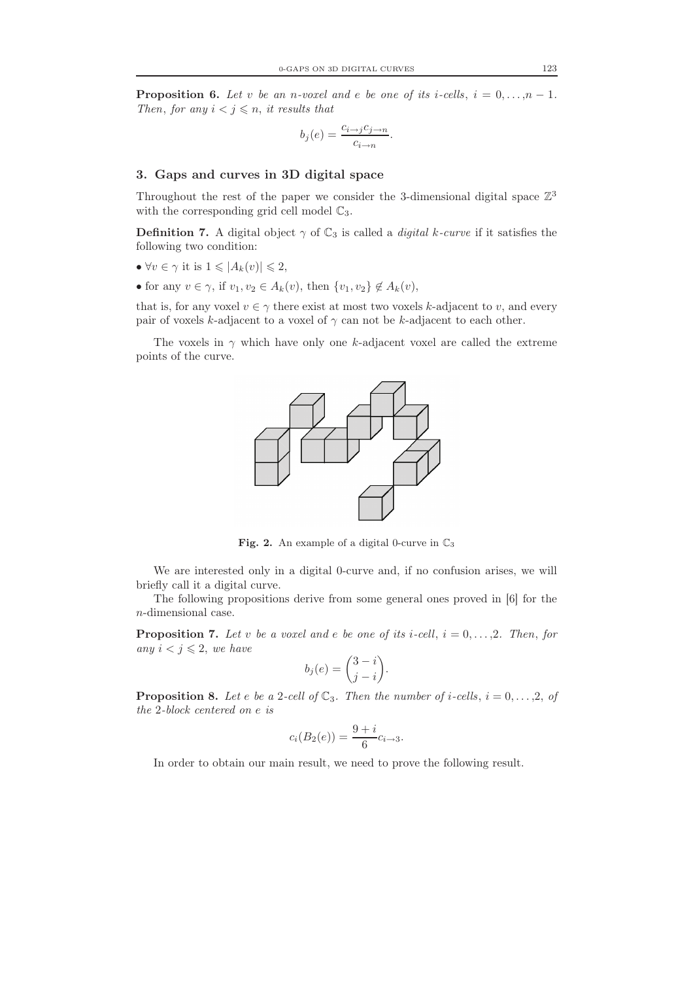**Proposition 6.** Let v be an n-voxel and e be one of its i-cells,  $i = 0, ..., n - 1$ . Then, for any  $i < j \leq n$ , it results that

$$
b_j(e) = \frac{c_{i \to j}c_{j \to n}}{c_{i \to n}}.
$$

### 3. Gaps and curves in 3D digital space

Throughout the rest of the paper we consider the 3-dimensional digital space  $\mathbb{Z}^3$ with the corresponding grid cell model  $\mathbb{C}_3$ .

**Definition 7.** A digital object  $\gamma$  of  $\mathbb{C}_3$  is called a *digital k-curve* if it satisfies the following two condition:

- $\forall v \in \gamma$  it is  $1 \leqslant |A_k(v)| \leqslant 2$ ,
- for any  $v \in \gamma$ , if  $v_1, v_2 \in A_k(v)$ , then  $\{v_1, v_2\} \notin A_k(v)$ ,

that is, for any voxel  $v \in \gamma$  there exist at most two voxels k-adjacent to v, and every pair of voxels k-adjacent to a voxel of  $\gamma$  can not be k-adjacent to each other.

The voxels in  $\gamma$  which have only one k-adjacent voxel are called the extreme points of the curve.



Fig. 2. An example of a digital 0-curve in  $\mathbb{C}_3$ 

We are interested only in a digital 0-curve and, if no confusion arises, we will briefly call it a digital curve.

The following propositions derive from some general ones proved in [6] for the n-dimensional case.

**Proposition 7.** Let v be a voxel and e be one of its i-cell,  $i = 0, \ldots, 2$ . Then, for any  $i < j \leqslant 2$ , we have

$$
b_j(e) = \binom{3-i}{j-i}.
$$

**Proposition 8.** Let e be a 2-cell of  $\mathbb{C}_3$ . Then the number of *i*-cells, *i* = 0, ..., 2, of the 2-block centered on e is

$$
c_i(B_2(e)) = \frac{9+i}{6}c_{i \to 3}.
$$

In order to obtain our main result, we need to prove the following result.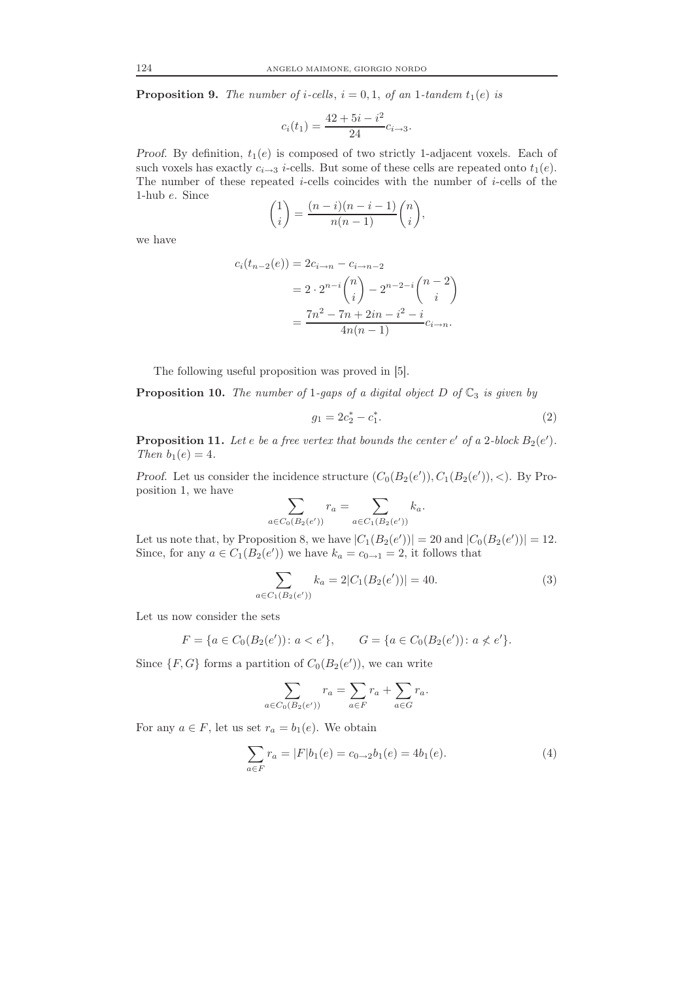**Proposition 9.** The number of i-cells,  $i = 0, 1$ , of an 1-tandem  $t_1(e)$  is

$$
c_i(t_1) = \frac{42 + 5i - i^2}{24} c_{i \to 3}.
$$

Proof. By definition,  $t_1(e)$  is composed of two strictly 1-adjacent voxels. Each of such voxels has exactly  $c_{i\rightarrow 3}$  *i*-cells. But some of these cells are repeated onto  $t_1(e)$ . The number of these repeated  $i$ -cells coincides with the number of  $i$ -cells of the 1-hub e. Since

$$
\binom{1}{i} = \frac{(n-i)(n-i-1)}{n(n-1)} \binom{n}{i},
$$

we have

$$
c_i(t_{n-2}(e)) = 2c_{i \to n} - c_{i \to n-2}
$$
  
=  $2 \cdot 2^{n-i} {n \choose i} - 2^{n-2-i} {n-2 \choose i}$   
=  $\frac{7n^2 - 7n + 2in - i^2 - i}{4n(n-1)} c_{i \to n}.$ 

The following useful proposition was proved in [5].

**Proposition 10.** The number of 1-gaps of a digital object D of  $\mathbb{C}_3$  is given by

$$
g_1 = 2c_2^* - c_1^*.\tag{2}
$$

**Proposition 11.** Let e be a free vertex that bounds the center  $e'$  of a 2-block  $B_2(e')$ . Then  $b_1(e) = 4$ .

Proof. Let us consider the incidence structure  $(C_0(B_2(e')), C_1(B_2(e')), <)$ . By Proposition 1, we have

$$
\sum_{a \in C_0(B_2(e'))} r_a = \sum_{a \in C_1(B_2(e'))} k_a.
$$

Let us note that, by Proposition 8, we have  $|C_1(B_2(e'))| = 20$  and  $|C_0(B_2(e'))| = 12$ . Since, for any  $a \in C_1(B_2(e'))$  we have  $k_a = c_{0 \to 1} = 2$ , it follows that

$$
\sum_{a \in C_1(B_2(e'))} k_a = 2|C_1(B_2(e'))| = 40.
$$
\n(3)

Let us now consider the sets

$$
F = \{ a \in C_0(B_2(e')) : a < e' \}, \qquad G = \{ a \in C_0(B_2(e')) : a \nleq e' \}.
$$

Since  $\{F, G\}$  forms a partition of  $C_0(B_2(e'))$ , we can write

$$
\sum_{a \in C_0(B_2(e'))} r_a = \sum_{a \in F} r_a + \sum_{a \in G} r_a.
$$

For any  $a \in F$ , let us set  $r_a = b_1(e)$ . We obtain

$$
\sum_{a \in F} r_a = |F|b_1(e) = c_{0 \to 2}b_1(e) = 4b_1(e). \tag{4}
$$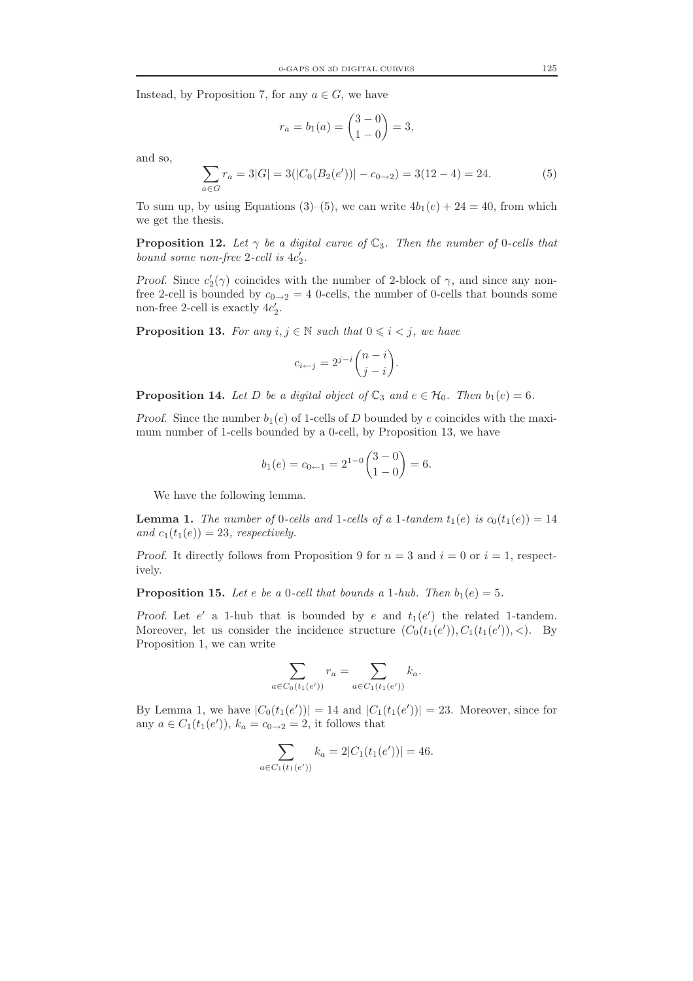Instead, by Proposition 7, for any  $a \in G$ , we have

$$
r_a = b_1(a) = \binom{3-0}{1-0} = 3,
$$

and so,

$$
\sum_{a \in G} r_a = 3|G| = 3(|C_0(B_2(e'))| - c_{0 \to 2}) = 3(12 - 4) = 24.
$$
 (5)

To sum up, by using Equations (3)–(5), we can write  $4b_1(e) + 24 = 40$ , from which we get the thesis.

**Proposition 12.** Let  $\gamma$  be a digital curve of  $\mathbb{C}_3$ . Then the number of 0-cells that bound some non-free 2-cell is  $4c'_2$ .

Proof. Since  $c_2'(\gamma)$  coincides with the number of 2-block of  $\gamma$ , and since any nonfree 2-cell is bounded by  $c_{0\rightarrow 2} = 4$  0-cells, the number of 0-cells that bounds some non-free 2-cell is exactly  $4c'_2$ .

**Proposition 13.** For any  $i, j \in \mathbb{N}$  such that  $0 \leq i \leq j$ , we have

$$
c_{i \leftarrow j} = 2^{j-i} \binom{n-i}{j-i}.
$$

**Proposition 14.** Let D be a digital object of  $\mathbb{C}_3$  and  $e \in \mathcal{H}_0$ . Then  $b_1(e) = 6$ .

*Proof.* Since the number  $b_1(e)$  of 1-cells of D bounded by e coincides with the maximum number of 1-cells bounded by a 0-cell, by Proposition 13, we have

$$
b_1(e) = c_{0 \leftarrow 1} = 2^{1-0} \binom{3-0}{1-0} = 6.
$$

We have the following lemma.

**Lemma 1.** The number of 0-cells and 1-cells of a 1-tandem  $t_1(e)$  is  $c_0(t_1(e)) = 14$ and  $c_1(t_1(e)) = 23$ , respectively.

*Proof.* It directly follows from Proposition 9 for  $n = 3$  and  $i = 0$  or  $i = 1$ , respectively.

**Proposition 15.** Let e be a 0-cell that bounds a 1-hub. Then  $b_1(e) = 5$ .

Proof. Let  $e'$  a 1-hub that is bounded by  $e$  and  $t_1(e')$  the related 1-tandem. Moreover, let us consider the incidence structure  $(C_0(t_1(e')), C_1(t_1(e')), <)$ . By Proposition 1, we can write

$$
\sum_{a \in C_0(t_1(e'))} r_a = \sum_{a \in C_1(t_1(e'))} k_a.
$$

By Lemma 1, we have  $|C_0(t_1(e'))| = 14$  and  $|C_1(t_1(e'))| = 23$ . Moreover, since for any  $a \in C_1(t_1(e'))$ ,  $k_a = c_{0 \to 2} = 2$ , it follows that

$$
\sum_{a \in C_1(t_1(e'))} k_a = 2|C_1(t_1(e'))| = 46.
$$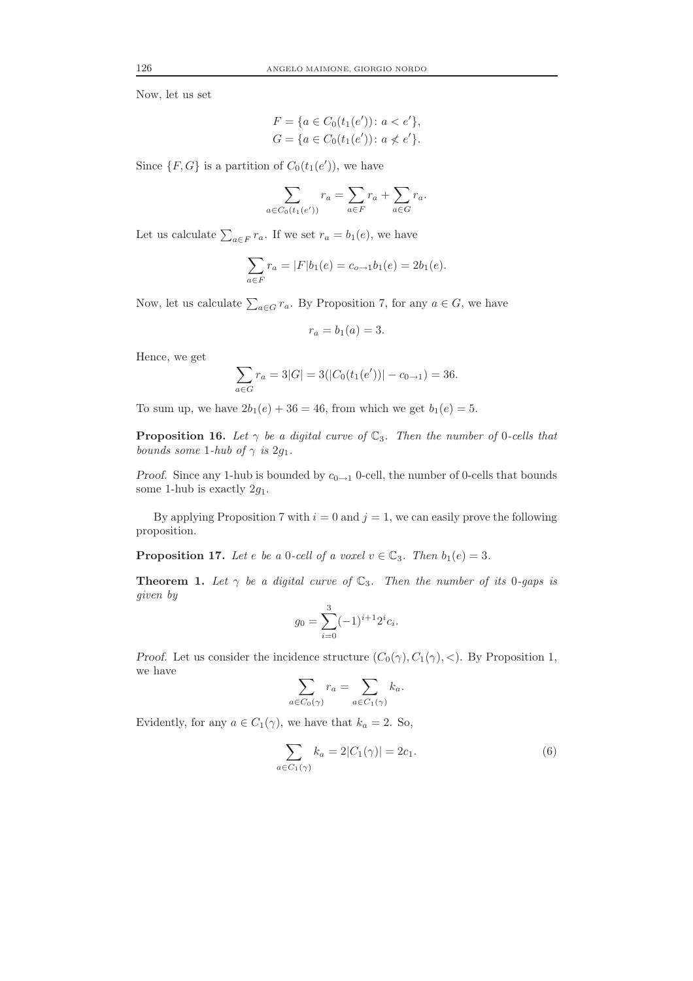Now, let us set

$$
F = \{a \in C_0(t_1(e')) : a < e'\},\,
$$
  
\n
$$
G = \{a \in C_0(t_1(e')) : a \nless e'\}.
$$

Since  $\{F, G\}$  is a partition of  $C_0(t_1(e'))$ , we have

$$
\sum_{a \in C_0(t_1(e'))} r_a = \sum_{a \in F} r_a + \sum_{a \in G} r_a.
$$

Let us calculate  $\sum_{a \in F} r_a$ . If we set  $r_a = b_1(e)$ , we have

$$
\sum_{a \in F} r_a = |F|b_1(e) = c_{o \to 1}b_1(e) = 2b_1(e).
$$

Now, let us calculate  $\sum_{a \in G} r_a$ . By Proposition 7, for any  $a \in G$ , we have

$$
r_a = b_1(a) = 3.
$$

Hence, we get

$$
\sum_{a \in G} r_a = 3|G| = 3(|C_0(t_1(e'))| - c_{0 \to 1}) = 36.
$$

To sum up, we have  $2b_1(e) + 36 = 46$ , from which we get  $b_1(e) = 5$ .

**Proposition 16.** Let  $\gamma$  be a digital curve of  $\mathbb{C}_3$ . Then the number of 0-cells that bounds some 1-hub of  $\gamma$  is 2g<sub>1</sub>.

Proof. Since any 1-hub is bounded by  $c_{0\rightarrow1}$  0-cell, the number of 0-cells that bounds some 1-hub is exactly  $2g_1$ .

By applying Proposition 7 with  $i = 0$  and  $j = 1$ , we can easily prove the following proposition.

**Proposition 17.** Let e be a 0-cell of a voxel  $v \in \mathbb{C}_3$ . Then  $b_1(e) = 3$ .

**Theorem 1.** Let  $\gamma$  be a digital curve of  $\mathbb{C}_3$ . Then the number of its 0-gaps is given by

$$
g_0 = \sum_{i=0}^{3} (-1)^{i+1} 2^i c_i.
$$

*Proof.* Let us consider the incidence structure  $(C_0(\gamma), C_1(\gamma), <)$ . By Proposition 1, we have

$$
\sum_{a \in C_0(\gamma)} r_a = \sum_{a \in C_1(\gamma)} k_a.
$$

Evidently, for any  $a \in C_1(\gamma)$ , we have that  $k_a = 2$ . So,

$$
\sum_{a \in C_1(\gamma)} k_a = 2|C_1(\gamma)| = 2c_1.
$$
 (6)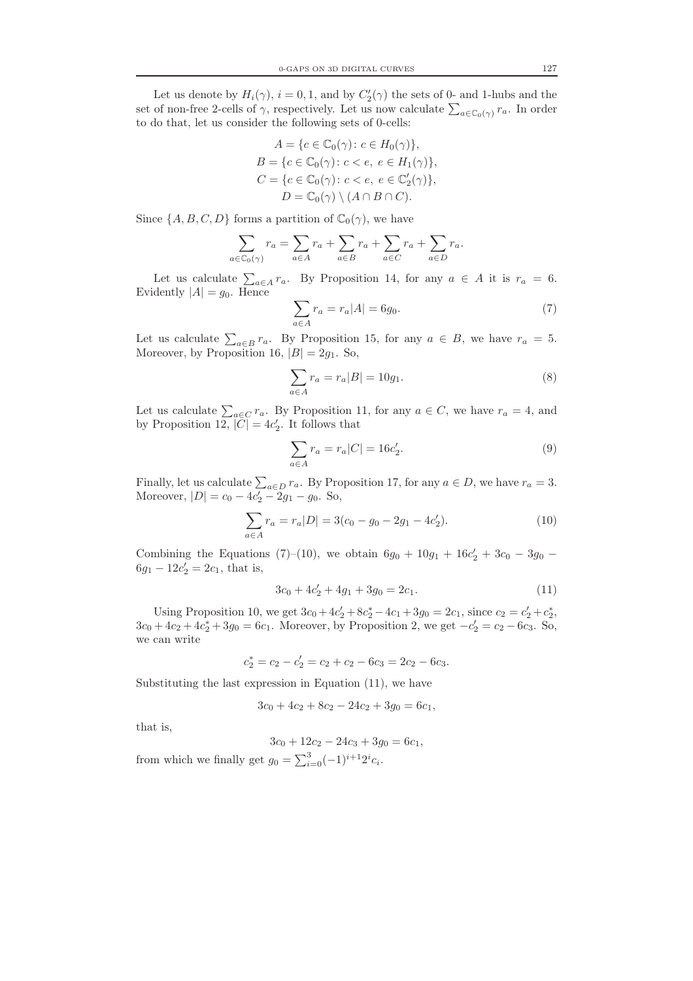Let us denote by  $H_i(\gamma)$ ,  $i = 0, 1$ , and by  $C'_2(\gamma)$  the sets of 0- and 1-hubs and the set of non-free 2-cells of  $\gamma$ , respectively. Let us now calculate  $\sum_{a\in\mathbb{C}_0(\gamma)} r_a$ . In order to do that, let us consider the following sets of 0-cells:

$$
A = \{c \in \mathbb{C}_0(\gamma) : c \in H_0(\gamma)\},
$$
  
\n
$$
B = \{c \in \mathbb{C}_0(\gamma) : c < e, e \in H_1(\gamma)\},
$$
  
\n
$$
C = \{c \in \mathbb{C}_0(\gamma) : c < e, e \in \mathbb{C}'_2(\gamma)\},
$$
  
\n
$$
D = \mathbb{C}_0(\gamma) \setminus (A \cap B \cap C).
$$

Since  $\{A, B, C, D\}$  forms a partition of  $\mathbb{C}_0(\gamma)$ , we have

$$
\sum_{a \in \mathbb{C}_0(\gamma)} r_a = \sum_{a \in A} r_a + \sum_{a \in B} r_a + \sum_{a \in C} r_a + \sum_{a \in D} r_a.
$$

Let us calculate  $\sum_{a \in A} r_a$ . By Proposition 14, for any  $a \in A$  it is  $r_a = 6$ . Evidently  $|A| = g_0$ . Hence

$$
\sum_{a \in A} r_a = r_a |A| = 6g_0. \tag{7}
$$

Let us calculate  $\sum_{a \in B} r_a$ . By Proposition 15, for any  $a \in B$ , we have  $r_a = 5$ . Moreover, by Proposition 16,  $|B| = 2q_1$ . So,

$$
\sum_{a \in A} r_a = r_a |B| = 10g_1.
$$
 (8)

Let us calculate  $\sum_{a \in C} r_a$ . By Proposition 11, for any  $a \in C$ , we have  $r_a = 4$ , and by Proposition 12,  $|\tilde{C}| = 4c_2'$ . It follows that

$$
\sum_{a \in A} r_a = r_a |C| = 16c'_2.
$$
 (9)

Finally, let us calculate  $\sum_{a \in D} r_a$ . By Proposition 17, for any  $a \in D$ , we have  $r_a = 3$ . Moreover,  $|D| = c_0 - 4c_2' - 2g_1 - g_0$ . So,

$$
\sum_{a \in A} r_a = r_a |D| = 3(c_0 - g_0 - 2g_1 - 4c'_2). \tag{10}
$$

Combining the Equations (7)–(10), we obtain  $6g_0 + 10g_1 + 16c'_2 + 3c_0 - 3g_0$  –  $6g_1 - 12c'_2 = 2c_1$ , that is,

$$
3c_0 + 4c_2' + 4g_1 + 3g_0 = 2c_1.
$$
\n(11)

Using Proposition 10, we get  $3c_0 + 4c'_2 + 8c_2^* - 4c_1 + 3g_0 = 2c_1$ , since  $c_2 = c'_2 + c_2^*$ ,  $3c_0 + 4c_2 + 4c_2^* + 3g_0 = 6c_1$ . Moreover, by Proposition 2, we get  $-c_2' = c_2 - 6c_3$ . So, we can write

$$
c_2^* = c_2 - c_2' = c_2 + c_2 - 6c_3 = 2c_2 - 6c_3.
$$

Substituting the last expression in Equation (11), we have

$$
3c_0 + 4c_2 + 8c_2 - 24c_2 + 3g_0 = 6c_1,
$$

that is,

$$
3c_0 + 12c_2 - 24c_3 + 3g_0 = 6c_1,
$$

from which we finally get  $g_0 = \sum_{i=0}^3 (-1)^{i+1} 2^i c_i$ .